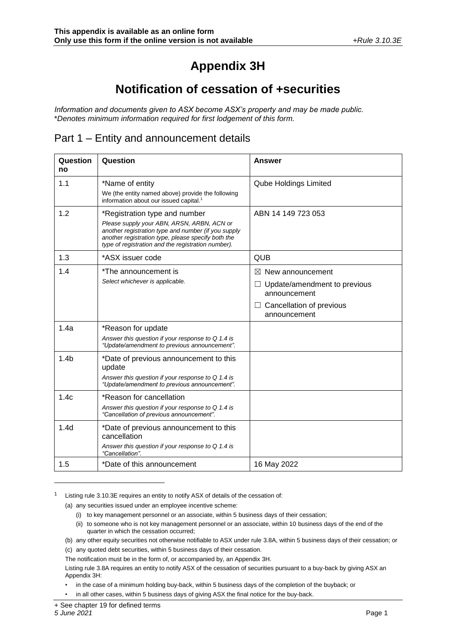# **Appendix 3H**

## **Notification of cessation of +securities**

*Information and documents given to ASX become ASX's property and may be made public.* \**Denotes minimum information required for first lodgement of this form.*

#### Part 1 – Entity and announcement details

| Question<br>no   | Question                                                                                                                                                                                                                                       | <b>Answer</b>                                                                                                                      |
|------------------|------------------------------------------------------------------------------------------------------------------------------------------------------------------------------------------------------------------------------------------------|------------------------------------------------------------------------------------------------------------------------------------|
| 1.1              | *Name of entity<br>We (the entity named above) provide the following<br>information about our issued capital. <sup>1</sup>                                                                                                                     | <b>Qube Holdings Limited</b>                                                                                                       |
| 1.2              | *Registration type and number<br>Please supply your ABN, ARSN, ARBN, ACN or<br>another registration type and number (if you supply<br>another registration type, please specify both the<br>type of registration and the registration number). | ABN 14 149 723 053                                                                                                                 |
| 1.3              | *ASX issuer code                                                                                                                                                                                                                               | QUB                                                                                                                                |
| 1.4              | *The announcement is<br>Select whichever is applicable.                                                                                                                                                                                        | $\boxtimes$ New announcement<br>Update/amendment to previous<br>announcement<br>Cancellation of previous<br>$\Box$<br>announcement |
| 1.4a             | *Reason for update<br>Answer this question if your response to $Q$ 1.4 is<br>"Update/amendment to previous announcement".                                                                                                                      |                                                                                                                                    |
| 1.4 <sub>b</sub> | *Date of previous announcement to this<br>update<br>Answer this question if your response to $Q$ 1.4 is<br>"Update/amendment to previous announcement".                                                                                        |                                                                                                                                    |
| 1.4c             | *Reason for cancellation<br>Answer this question if your response to $Q$ 1.4 is<br>"Cancellation of previous announcement".                                                                                                                    |                                                                                                                                    |
| 1.4d             | *Date of previous announcement to this<br>cancellation<br>Answer this question if your response to Q 1.4 is<br>"Cancellation".                                                                                                                 |                                                                                                                                    |
| 1.5              | *Date of this announcement                                                                                                                                                                                                                     | 16 May 2022                                                                                                                        |

<sup>1</sup> Listing rule 3.10.3E requires an entity to notify ASX of details of the cessation of:

- (a) any securities issued under an employee incentive scheme:
	- (i) to key management personnel or an associate, within 5 business days of their cessation;
	- (ii) to someone who is not key management personnel or an associate, within 10 business days of the end of the quarter in which the cessation occurred;
- (b) any other equity securities not otherwise notifiable to ASX under rule 3.8A, within 5 business days of their cessation; or (c) any quoted debt securities, within 5 business days of their cessation.

The notification must be in the form of, or accompanied by, an Appendix 3H.

Listing rule 3.8A requires an entity to notify ASX of the cessation of securities pursuant to a buy-back by giving ASX an Appendix 3H:

• in the case of a minimum holding buy-back, within 5 business days of the completion of the buyback; or

• in all other cases, within 5 business days of giving ASX the final notice for the buy-back.

l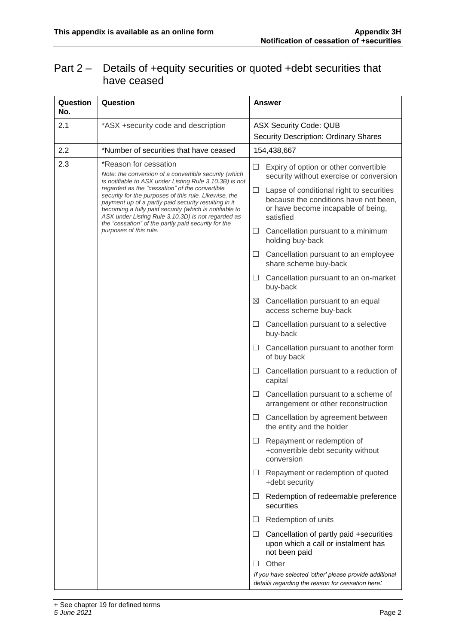### Part 2 – Details of +equity securities or quoted +debt securities that have ceased

| Question<br>No. | Question                                                                                                                                                                                                                                                                                                                               | <b>Answer</b>                                                                                                                                  |
|-----------------|----------------------------------------------------------------------------------------------------------------------------------------------------------------------------------------------------------------------------------------------------------------------------------------------------------------------------------------|------------------------------------------------------------------------------------------------------------------------------------------------|
| 2.1             | *ASX +security code and description                                                                                                                                                                                                                                                                                                    | <b>ASX Security Code: QUB</b>                                                                                                                  |
|                 |                                                                                                                                                                                                                                                                                                                                        | <b>Security Description: Ordinary Shares</b>                                                                                                   |
| 2.2             | *Number of securities that have ceased                                                                                                                                                                                                                                                                                                 | 154,438,667                                                                                                                                    |
| 2.3             | *Reason for cessation<br>Note: the conversion of a convertible security (which<br>is notifiable to ASX under Listing Rule 3.10.3B) is not                                                                                                                                                                                              | Expiry of option or other convertible<br>$\Box$                                                                                                |
|                 |                                                                                                                                                                                                                                                                                                                                        | security without exercise or conversion                                                                                                        |
|                 | regarded as the "cessation" of the convertible<br>security for the purposes of this rule. Likewise, the<br>payment up of a partly paid security resulting in it<br>becoming a fully paid security (which is notifiable to<br>ASX under Listing Rule 3.10.3D) is not regarded as<br>the "cessation" of the partly paid security for the | $\Box$<br>Lapse of conditional right to securities<br>because the conditions have not been,<br>or have become incapable of being,<br>satisfied |
|                 | purposes of this rule.                                                                                                                                                                                                                                                                                                                 | Cancellation pursuant to a minimum<br>⊔.<br>holding buy-back                                                                                   |
|                 |                                                                                                                                                                                                                                                                                                                                        | Cancellation pursuant to an employee<br>ப<br>share scheme buy-back                                                                             |
|                 |                                                                                                                                                                                                                                                                                                                                        | Cancellation pursuant to an on-market<br>ш<br>buy-back                                                                                         |
|                 |                                                                                                                                                                                                                                                                                                                                        | Cancellation pursuant to an equal<br>$\boxtimes$<br>access scheme buy-back                                                                     |
|                 |                                                                                                                                                                                                                                                                                                                                        | $\Box$ Cancellation pursuant to a selective<br>buy-back                                                                                        |
|                 |                                                                                                                                                                                                                                                                                                                                        | Cancellation pursuant to another form<br>ப<br>of buy back                                                                                      |
|                 |                                                                                                                                                                                                                                                                                                                                        | Cancellation pursuant to a reduction of<br>⊔.<br>capital                                                                                       |
|                 |                                                                                                                                                                                                                                                                                                                                        | Cancellation pursuant to a scheme of<br>ப<br>arrangement or other reconstruction                                                               |
|                 |                                                                                                                                                                                                                                                                                                                                        | Cancellation by agreement between<br>ш<br>the entity and the holder                                                                            |
|                 |                                                                                                                                                                                                                                                                                                                                        | $\Box$ Repayment or redemption of<br>+convertible debt security without<br>conversion                                                          |
|                 |                                                                                                                                                                                                                                                                                                                                        | Repayment or redemption of quoted<br>⊔<br>+debt security                                                                                       |
|                 |                                                                                                                                                                                                                                                                                                                                        | Redemption of redeemable preference<br>ш<br>securities                                                                                         |
|                 |                                                                                                                                                                                                                                                                                                                                        | Redemption of units                                                                                                                            |
|                 |                                                                                                                                                                                                                                                                                                                                        | Cancellation of partly paid +securities<br>ப<br>upon which a call or instalment has<br>not been paid                                           |
|                 |                                                                                                                                                                                                                                                                                                                                        | Other                                                                                                                                          |
|                 |                                                                                                                                                                                                                                                                                                                                        | If you have selected 'other' please provide additional<br>details regarding the reason for cessation here:                                     |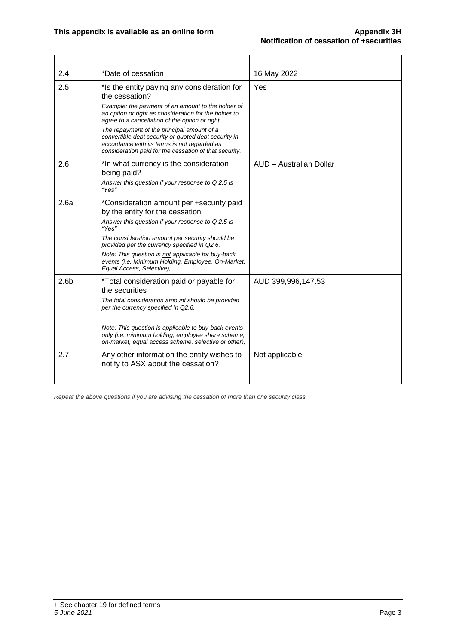| 2.4              | *Date of cessation                                                                                                                                                                                                                                                                                                                                                                                                                              | 16 May 2022             |
|------------------|-------------------------------------------------------------------------------------------------------------------------------------------------------------------------------------------------------------------------------------------------------------------------------------------------------------------------------------------------------------------------------------------------------------------------------------------------|-------------------------|
| 2.5              | *Is the entity paying any consideration for<br>the cessation?<br>Example: the payment of an amount to the holder of<br>an option or right as consideration for the holder to<br>agree to a cancellation of the option or right.<br>The repayment of the principal amount of a<br>convertible debt security or quoted debt security in<br>accordance with its terms is not regarded as<br>consideration paid for the cessation of that security. | Yes                     |
| 2.6              | *In what currency is the consideration<br>being paid?<br>Answer this question if your response to Q 2.5 is<br>"Yes"                                                                                                                                                                                                                                                                                                                             | AUD - Australian Dollar |
| 2.6a             | *Consideration amount per +security paid<br>by the entity for the cessation<br>Answer this question if your response to Q 2.5 is<br>"Yes"<br>The consideration amount per security should be<br>provided per the currency specified in Q2.6.<br>Note: This question is not applicable for buy-back<br>events (i.e. Minimum Holding, Employee, On-Market,<br>Equal Access, Selective),                                                           |                         |
| 2.6 <sub>b</sub> | *Total consideration paid or payable for<br>the securities<br>The total consideration amount should be provided<br>per the currency specified in Q2.6.<br>Note: This question is applicable to buy-back events<br>only (i.e. minimum holding, employee share scheme,<br>on-market, equal access scheme, selective or other),                                                                                                                    | AUD 399,996,147.53      |
| 2.7              | Any other information the entity wishes to<br>notify to ASX about the cessation?                                                                                                                                                                                                                                                                                                                                                                | Not applicable          |

*Repeat the above questions if you are advising the cessation of more than one security class.*